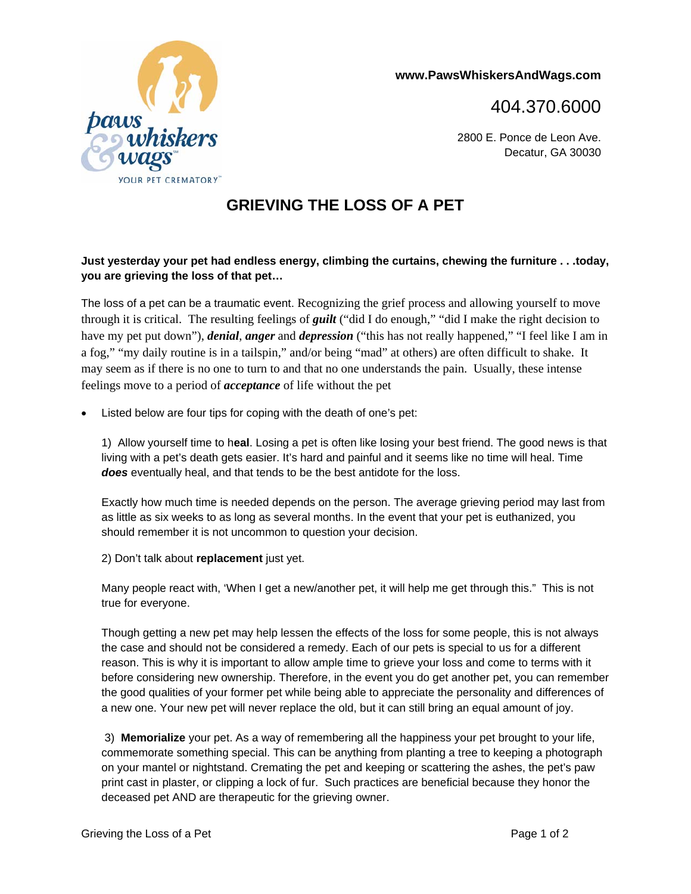

**www.PawsWhiskersAndWags.com** 

404.370.6000

2800 E. Ponce de Leon Ave. Decatur, GA 30030

## **GRIEVING THE LOSS OF A PET**

## **Just yesterday your pet had endless energy, climbing the curtains, chewing the furniture . . .today, you are grieving the loss of that pet…**

The loss of a pet can be a traumatic event. Recognizing the grief process and allowing yourself to move through it is critical. The resulting feelings of *guilt* ("did I do enough," "did I make the right decision to have my pet put down"), *denial*, *anger* and *depression* ("this has not really happened," "I feel like I am in a fog," "my daily routine is in a tailspin," and/or being "mad" at others) are often difficult to shake. It may seem as if there is no one to turn to and that no one understands the pain. Usually, these intense feelings move to a period of *acceptance* of life without the pet

Listed below are four tips for coping with the death of one's pet:

1) Allow yourself time to h**eal**. Losing a pet is often like losing your best friend. The good news is that living with a pet's death gets easier. It's hard and painful and it seems like no time will heal. Time *does* eventually heal, and that tends to be the best antidote for the loss.

Exactly how much time is needed depends on the person. The average grieving period may last from as little as six weeks to as long as several months. In the event that your pet is euthanized, you should remember it is not uncommon to question your decision.

2) Don't talk about **replacement** just yet.

Many people react with, 'When I get a new/another pet, it will help me get through this." This is not true for everyone.

Though getting a new pet may help lessen the effects of the loss for some people, this is not always the case and should not be considered a remedy. Each of our pets is special to us for a different reason. This is why it is important to allow ample time to grieve your loss and come to terms with it before considering new ownership. Therefore, in the event you do get another pet, you can remember the good qualities of your former pet while being able to appreciate the personality and differences of a new one. Your new pet will never replace the old, but it can still bring an equal amount of joy.

 3) **Memorialize** your pet. As a way of remembering all the happiness your pet brought to your life, commemorate something special. This can be anything from planting a tree to keeping a photograph on your mantel or nightstand. Cremating the pet and keeping or scattering the ashes, the pet's paw print cast in plaster, or clipping a lock of fur. Such practices are beneficial because they honor the deceased pet AND are therapeutic for the grieving owner.